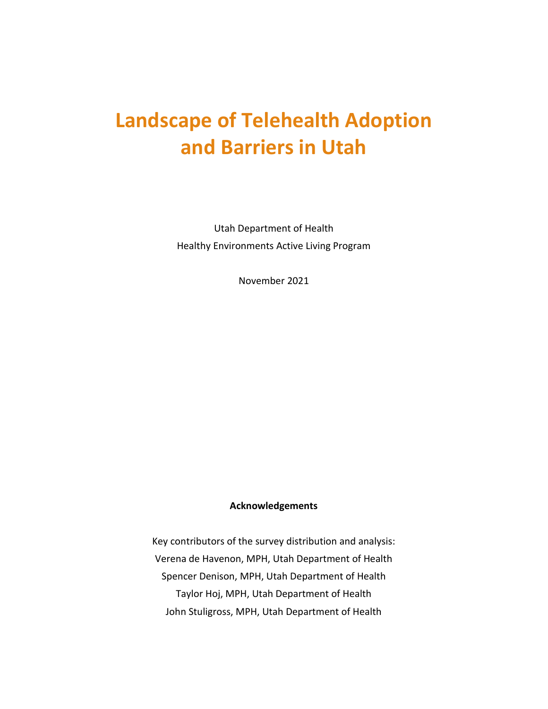# **Landscape of Telehealth Adoption and Barriers in Utah**

Utah Department of Health Healthy Environments Active Living Program

November 2021

#### **Acknowledgements**

Key contributors of the survey distribution and analysis: Verena de Havenon, MPH, Utah Department of Health Spencer Denison, MPH, Utah Department of Health Taylor Hoj, MPH, Utah Department of Health John Stuligross, MPH, Utah Department of Health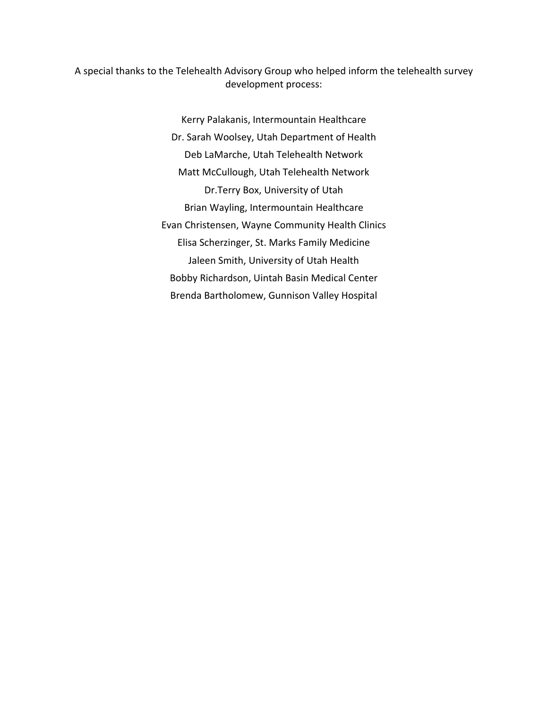A special thanks to the Telehealth Advisory Group who helped inform the telehealth survey development process:

> Kerry Palakanis, Intermountain Healthcare Dr. Sarah Woolsey, Utah Department of Health Deb LaMarche, Utah Telehealth Network Matt McCullough, Utah Telehealth Network Dr.Terry Box, University of Utah Brian Wayling, Intermountain Healthcare Evan Christensen, Wayne Community Health Clinics Elisa Scherzinger, St. Marks Family Medicine Jaleen Smith, University of Utah Health Bobby Richardson, Uintah Basin Medical Center Brenda Bartholomew, Gunnison Valley Hospital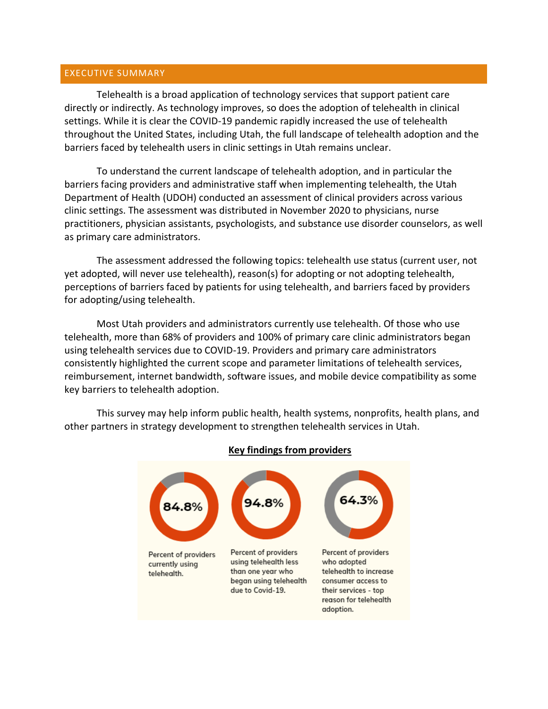#### EXECUTIVE SUMMARY

Telehealth is a broad application of technology services that support patient care directly or indirectly. As technology improves, so does the adoption of telehealth in clinical settings. While it is clear the COVID-19 pandemic rapidly increased the use of telehealth throughout the United States, including Utah, the full landscape of telehealth adoption and the barriers faced by telehealth users in clinic settings in Utah remains unclear.

To understand the current landscape of telehealth adoption, and in particular the barriers facing providers and administrative staff when implementing telehealth, the Utah Department of Health (UDOH) conducted an assessment of clinical providers across various clinic settings. The assessment was distributed in November 2020 to physicians, nurse practitioners, physician assistants, psychologists, and substance use disorder counselors, as well as primary care administrators.

The assessment addressed the following topics: telehealth use status (current user, not yet adopted, will never use telehealth), reason(s) for adopting or not adopting telehealth, perceptions of barriers faced by patients for using telehealth, and barriers faced by providers for adopting/using telehealth.

Most Utah providers and administrators currently use telehealth. Of those who use telehealth, more than 68% of providers and 100% of primary care clinic administrators began using telehealth services due to COVID-19. Providers and primary care administrators consistently highlighted the current scope and parameter limitations of telehealth services, reimbursement, internet bandwidth, software issues, and mobile device compatibility as some key barriers to telehealth adoption.

This survey may help inform public health, health systems, nonprofits, health plans, and other partners in strategy development to strengthen telehealth services in Utah.



#### **Key findings from providers**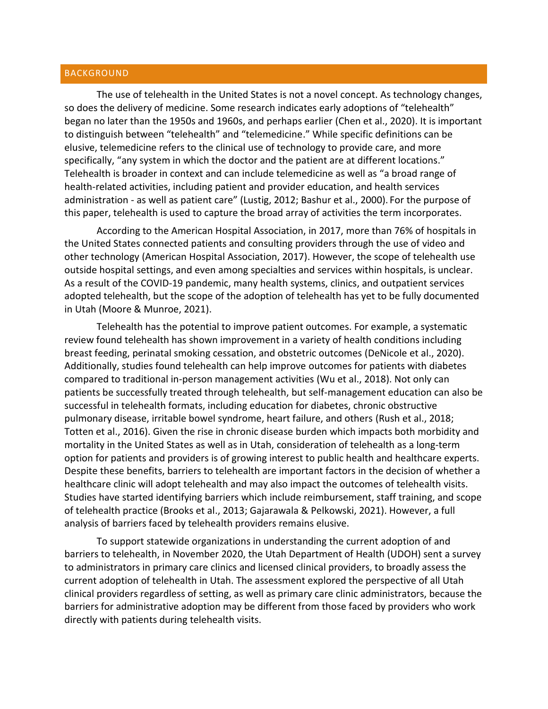#### **BACKGROUND**

The use of telehealth in the United States is not a novel concept. As technology changes, so does the delivery of medicine. Some research indicates early adoptions of "telehealth" began no later than the 1950s and 1960s, and perhaps earlier (Chen et al., 2020). It is important to distinguish between "telehealth" and "telemedicine." While specific definitions can be elusive, telemedicine refers to the clinical use of technology to provide care, and more specifically, "any system in which the doctor and the patient are at different locations." Telehealth is broader in context and can include telemedicine as well as "a broad range of health-related activities, including patient and provider education, and health services administration - as well as patient care" (Lustig, 2012; Bashur et al., 2000). For the purpose of this paper, telehealth is used to capture the broad array of activities the term incorporates.

According to the American Hospital Association, in 2017, more than 76% of hospitals in the United States connected patients and consulting providers through the use of video and other technology (American Hospital Association, 2017). However, the scope of telehealth use outside hospital settings, and even among specialties and services within hospitals, is unclear. As a result of the COVID-19 pandemic, many health systems, clinics, and outpatient services adopted telehealth, but the scope of the adoption of telehealth has yet to be fully documented in Utah (Moore & Munroe, 2021).

Telehealth has the potential to improve patient outcomes. For example, a systematic review found telehealth has shown improvement in a variety of health conditions including breast feeding, perinatal smoking cessation, and obstetric outcomes (DeNicole et al., 2020). Additionally, studies found telehealth can help improve outcomes for patients with diabetes compared to traditional in-person management activities (Wu et al., 2018). Not only can patients be successfully treated through telehealth, but self-management education can also be successful in telehealth formats, including education for diabetes, chronic obstructive pulmonary disease, irritable bowel syndrome, heart failure, and others (Rush et al., 2018; Totten et al., 2016). Given the rise in chronic disease burden which impacts both morbidity and mortality in the United States as well as in Utah, consideration of telehealth as a long-term option for patients and providers is of growing interest to public health and healthcare experts. Despite these benefits, barriers to telehealth are important factors in the decision of whether a healthcare clinic will adopt telehealth and may also impact the outcomes of telehealth visits. Studies have started identifying barriers which include reimbursement, staff training, and scope of telehealth practice (Brooks et al., 2013; Gajarawala & Pelkowski, 2021). However, a full analysis of barriers faced by telehealth providers remains elusive.

To support statewide organizations in understanding the current adoption of and barriers to telehealth, in November 2020, the Utah Department of Health (UDOH) sent a survey to administrators in primary care clinics and licensed clinical providers, to broadly assess the current adoption of telehealth in Utah. The assessment explored the perspective of all Utah clinical providers regardless of setting, as well as primary care clinic administrators, because the barriers for administrative adoption may be different from those faced by providers who work directly with patients during telehealth visits.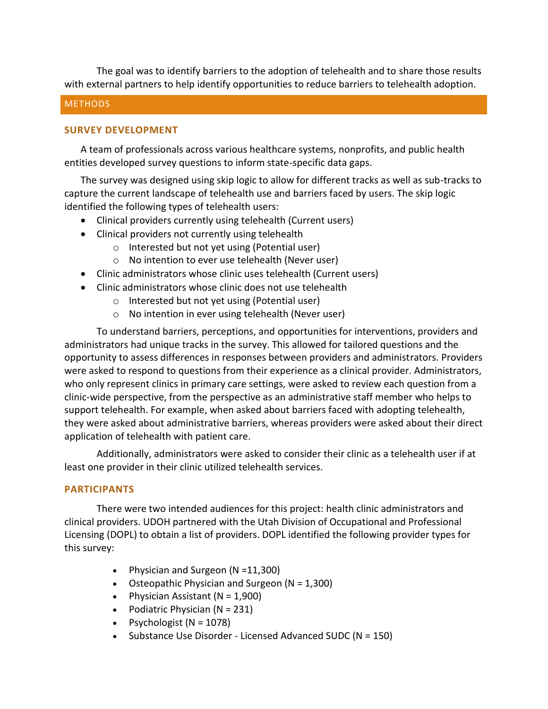The goal was to identify barriers to the adoption of telehealth and to share those results with external partners to help identify opportunities to reduce barriers to telehealth adoption.

#### **METHODS**

#### **SURVEY DEVELOPMENT**

A team of professionals across various healthcare systems, nonprofits, and public health entities developed survey questions to inform state-specific data gaps.

The survey was designed using skip logic to allow for different tracks as well as sub-tracks to capture the current landscape of telehealth use and barriers faced by users. The skip logic identified the following types of telehealth users:

- Clinical providers currently using telehealth (Current users)
- Clinical providers not currently using telehealth
	- o Interested but not yet using (Potential user)
	- o No intention to ever use telehealth (Never user)
- Clinic administrators whose clinic uses telehealth (Current users)
- Clinic administrators whose clinic does not use telehealth
	- o Interested but not yet using (Potential user)
	- o No intention in ever using telehealth (Never user)

To understand barriers, perceptions, and opportunities for interventions, providers and administrators had unique tracks in the survey. This allowed for tailored questions and the opportunity to assess differences in responses between providers and administrators. Providers were asked to respond to questions from their experience as a clinical provider. Administrators, who only represent clinics in primary care settings, were asked to review each question from a clinic-wide perspective, from the perspective as an administrative staff member who helps to support telehealth. For example, when asked about barriers faced with adopting telehealth, they were asked about administrative barriers, whereas providers were asked about their direct application of telehealth with patient care.

Additionally, administrators were asked to consider their clinic as a telehealth user if at least one provider in their clinic utilized telehealth services.

#### **PARTICIPANTS**

There were two intended audiences for this project: health clinic administrators and clinical providers. UDOH partnered with the Utah Division of Occupational and Professional Licensing (DOPL) to obtain a list of providers. DOPL identified the following provider types for this survey:

- Physician and Surgeon (N = 11,300)
- Osteopathic Physician and Surgeon  $(N = 1,300)$
- Physician Assistant  $(N = 1,900)$
- Podiatric Physician  $(N = 231)$
- Psychologist  $(N = 1078)$
- Substance Use Disorder Licensed Advanced SUDC ( $N = 150$ )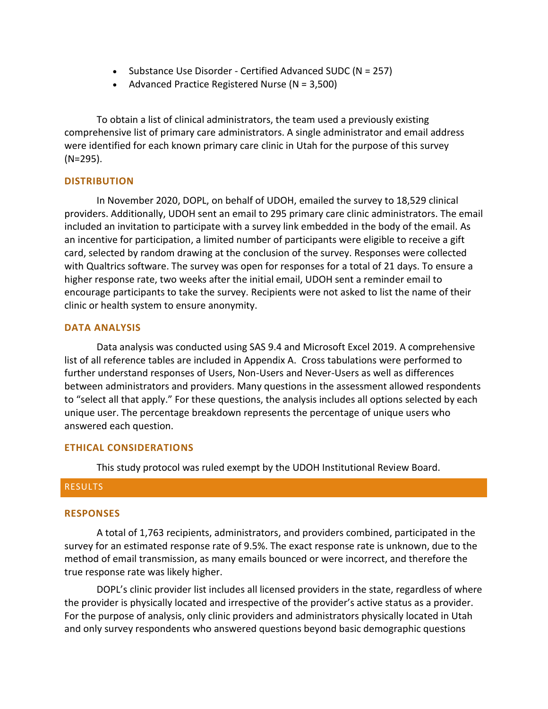- Substance Use Disorder Certified Advanced SUDC ( $N = 257$ )
- Advanced Practice Registered Nurse ( $N = 3,500$ )

To obtain a list of clinical administrators, the team used a previously existing comprehensive list of primary care administrators. A single administrator and email address were identified for each known primary care clinic in Utah for the purpose of this survey (N=295).

#### **DISTRIBUTION**

In November 2020, DOPL, on behalf of UDOH, emailed the survey to 18,529 clinical providers. Additionally, UDOH sent an email to 295 primary care clinic administrators. The email included an invitation to participate with a survey link embedded in the body of the email. As an incentive for participation, a limited number of participants were eligible to receive a gift card, selected by random drawing at the conclusion of the survey. Responses were collected with Qualtrics software. The survey was open for responses for a total of 21 days. To ensure a higher response rate, two weeks after the initial email, UDOH sent a reminder email to encourage participants to take the survey. Recipients were not asked to list the name of their clinic or health system to ensure anonymity.

#### **DATA ANALYSIS**

Data analysis was conducted using SAS 9.4 and Microsoft Excel 2019. A comprehensive list of all reference tables are included in Appendix A. Cross tabulations were performed to further understand responses of Users, Non-Users and Never-Users as well as differences between administrators and providers. Many questions in the assessment allowed respondents to "select all that apply." For these questions, the analysis includes all options selected by each unique user. The percentage breakdown represents the percentage of unique users who answered each question.

#### **ETHICAL CONSIDERATIONS**

This study protocol was ruled exempt by the UDOH Institutional Review Board.

#### RESULTS

#### **RESPONSES**

A total of 1,763 recipients, administrators, and providers combined, participated in the survey for an estimated response rate of 9.5%. The exact response rate is unknown, due to the method of email transmission, as many emails bounced or were incorrect, and therefore the true response rate was likely higher.

DOPL's clinic provider list includes all licensed providers in the state, regardless of where the provider is physically located and irrespective of the provider's active status as a provider. For the purpose of analysis, only clinic providers and administrators physically located in Utah and only survey respondents who answered questions beyond basic demographic questions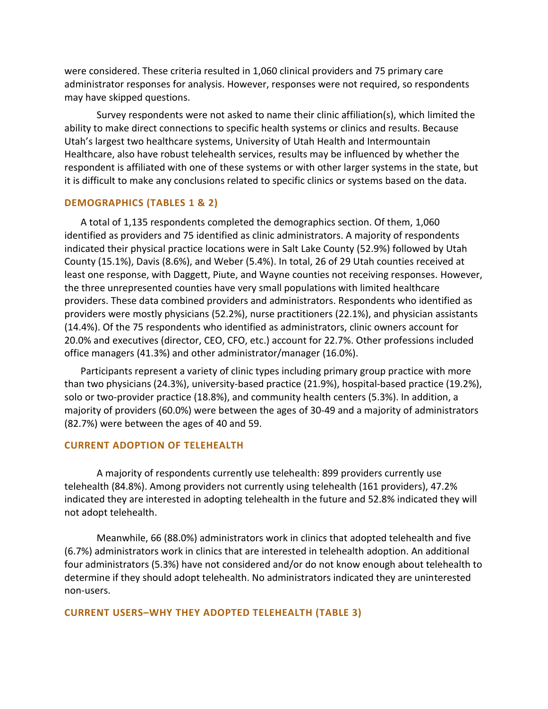were considered. These criteria resulted in 1,060 clinical providers and 75 primary care administrator responses for analysis. However, responses were not required, so respondents may have skipped questions.

Survey respondents were not asked to name their clinic affiliation(s), which limited the ability to make direct connections to specific health systems or clinics and results. Because Utah's largest two healthcare systems, University of Utah Health and Intermountain Healthcare, also have robust telehealth services, results may be influenced by whether the respondent is affiliated with one of these systems or with other larger systems in the state, but it is difficult to make any conclusions related to specific clinics or systems based on the data.

#### **DEMOGRAPHICS (TABLES 1 & 2)**

A total of 1,135 respondents completed the demographics section. Of them, 1,060 identified as providers and 75 identified as clinic administrators. A majority of respondents indicated their physical practice locations were in Salt Lake County (52.9%) followed by Utah County (15.1%), Davis (8.6%), and Weber (5.4%). In total, 26 of 29 Utah counties received at least one response, with Daggett, Piute, and Wayne counties not receiving responses. However, the three unrepresented counties have very small populations with limited healthcare providers. These data combined providers and administrators. Respondents who identified as providers were mostly physicians (52.2%), nurse practitioners (22.1%), and physician assistants (14.4%). Of the 75 respondents who identified as administrators, clinic owners account for 20.0% and executives (director, CEO, CFO, etc.) account for 22.7%. Other professions included office managers (41.3%) and other administrator/manager (16.0%).

Participants represent a variety of clinic types including primary group practice with more than two physicians (24.3%), university-based practice (21.9%), hospital-based practice (19.2%), solo or two-provider practice (18.8%), and community health centers (5.3%). In addition, a majority of providers (60.0%) were between the ages of 30-49 and a majority of administrators (82.7%) were between the ages of 40 and 59.

#### **CURRENT ADOPTION OF TELEHEALTH**

A majority of respondents currently use telehealth: 899 providers currently use telehealth (84.8%). Among providers not currently using telehealth (161 providers), 47.2% indicated they are interested in adopting telehealth in the future and 52.8% indicated they will not adopt telehealth.

Meanwhile, 66 (88.0%) administrators work in clinics that adopted telehealth and five (6.7%) administrators work in clinics that are interested in telehealth adoption. An additional four administrators (5.3%) have not considered and/or do not know enough about telehealth to determine if they should adopt telehealth. No administrators indicated they are uninterested non-users.

#### **CURRENT USERS–WHY THEY ADOPTED TELEHEALTH (TABLE 3)**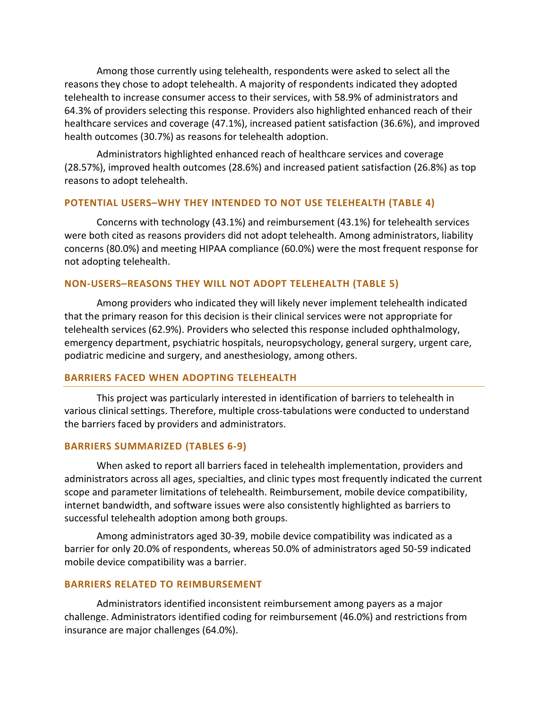Among those currently using telehealth, respondents were asked to select all the reasons they chose to adopt telehealth. A majority of respondents indicated they adopted telehealth to increase consumer access to their services, with 58.9% of administrators and 64.3% of providers selecting this response. Providers also highlighted enhanced reach of their healthcare services and coverage (47.1%), increased patient satisfaction (36.6%), and improved health outcomes (30.7%) as reasons for telehealth adoption.

Administrators highlighted enhanced reach of healthcare services and coverage (28.57%), improved health outcomes (28.6%) and increased patient satisfaction (26.8%) as top reasons to adopt telehealth.

#### **POTENTIAL USERS–WHY THEY INTENDED TO NOT USE TELEHEALTH (TABLE 4)**

Concerns with technology (43.1%) and reimbursement (43.1%) for telehealth services were both cited as reasons providers did not adopt telehealth. Among administrators, liability concerns (80.0%) and meeting HIPAA compliance (60.0%) were the most frequent response for not adopting telehealth.

#### **NON-USERS–REASONS THEY WILL NOT ADOPT TELEHEALTH (TABLE 5)**

Among providers who indicated they will likely never implement telehealth indicated that the primary reason for this decision is their clinical services were not appropriate for telehealth services (62.9%). Providers who selected this response included ophthalmology, emergency department, psychiatric hospitals, neuropsychology, general surgery, urgent care, podiatric medicine and surgery, and anesthesiology, among others.

#### **BARRIERS FACED WHEN ADOPTING TELEHEALTH**

This project was particularly interested in identification of barriers to telehealth in various clinical settings. Therefore, multiple cross-tabulations were conducted to understand the barriers faced by providers and administrators.

#### **BARRIERS SUMMARIZED (TABLES 6-9)**

When asked to report all barriers faced in telehealth implementation, providers and administrators across all ages, specialties, and clinic types most frequently indicated the current scope and parameter limitations of telehealth. Reimbursement, mobile device compatibility, internet bandwidth, and software issues were also consistently highlighted as barriers to successful telehealth adoption among both groups.

Among administrators aged 30-39, mobile device compatibility was indicated as a barrier for only 20.0% of respondents, whereas 50.0% of administrators aged 50-59 indicated mobile device compatibility was a barrier.

#### **BARRIERS RELATED TO REIMBURSEMENT**

Administrators identified inconsistent reimbursement among payers as a major challenge. Administrators identified coding for reimbursement (46.0%) and restrictions from insurance are major challenges (64.0%).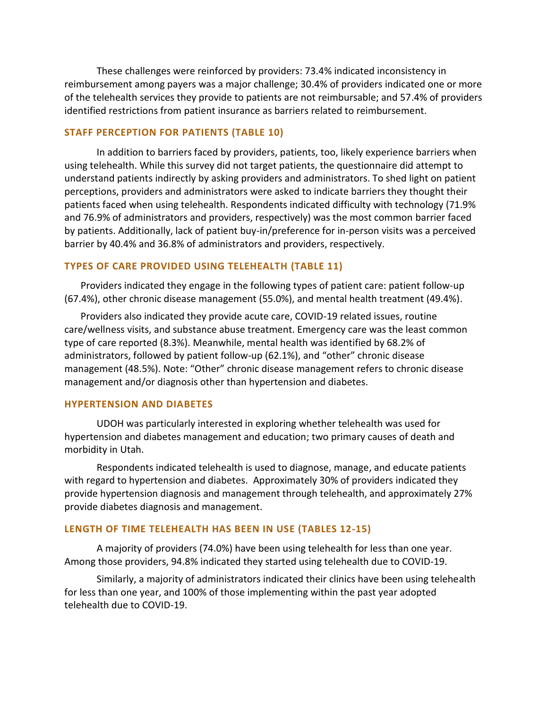These challenges were reinforced by providers: 73.4% indicated inconsistency in reimbursement among payers was a major challenge; 30.4% of providers indicated one or more of the telehealth services they provide to patients are not reimbursable; and 57.4% of providers identified restrictions from patient insurance as barriers related to reimbursement.

#### **STAFF PERCEPTION FOR PATIENTS (TABLE 10)**

In addition to barriers faced by providers, patients, too, likely experience barriers when using telehealth. While this survey did not target patients, the questionnaire did attempt to understand patients indirectly by asking providers and administrators. To shed light on patient perceptions, providers and administrators were asked to indicate barriers they thought their patients faced when using telehealth. Respondents indicated difficulty with technology (71.9% and 76.9% of administrators and providers, respectively) was the most common barrier faced by patients. Additionally, lack of patient buy-in/preference for in-person visits was a perceived barrier by 40.4% and 36.8% of administrators and providers, respectively.

#### **TYPES OF CARE PROVIDED USING TELEHEALTH (TABLE 11)**

Providers indicated they engage in the following types of patient care: patient follow-up (67.4%), other chronic disease management (55.0%), and mental health treatment (49.4%).

Providers also indicated they provide acute care, COVID-19 related issues, routine care/wellness visits, and substance abuse treatment. Emergency care was the least common type of care reported (8.3%). Meanwhile, mental health was identified by 68.2% of administrators, followed by patient follow-up (62.1%), and "other" chronic disease management (48.5%). Note: "Other" chronic disease management refers to chronic disease management and/or diagnosis other than hypertension and diabetes.

#### **HYPERTENSION AND DIABETES**

UDOH was particularly interested in exploring whether telehealth was used for hypertension and diabetes management and education; two primary causes of death and morbidity in Utah.

Respondents indicated telehealth is used to diagnose, manage, and educate patients with regard to hypertension and diabetes. Approximately 30% of providers indicated they provide hypertension diagnosis and management through telehealth, and approximately 27% provide diabetes diagnosis and management.

#### **LENGTH OF TIME TELEHEALTH HAS BEEN IN USE (TABLES 12-15)**

A majority of providers (74.0%) have been using telehealth for less than one year. Among those providers, 94.8% indicated they started using telehealth due to COVID-19.

Similarly, a majority of administrators indicated their clinics have been using telehealth for less than one year, and 100% of those implementing within the past year adopted telehealth due to COVID-19.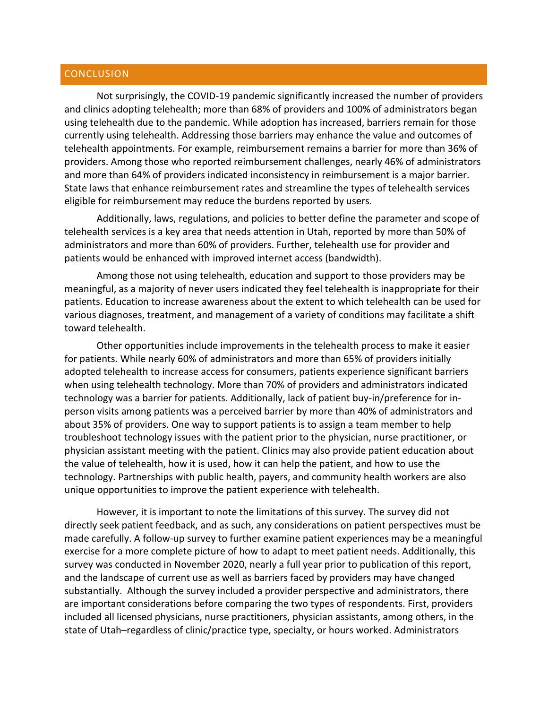#### **CONCLUSION**

Not surprisingly, the COVID-19 pandemic significantly increased the number of providers and clinics adopting telehealth; more than 68% of providers and 100% of administrators began using telehealth due to the pandemic. While adoption has increased, barriers remain for those currently using telehealth. Addressing those barriers may enhance the value and outcomes of telehealth appointments. For example, reimbursement remains a barrier for more than 36% of providers. Among those who reported reimbursement challenges, nearly 46% of administrators and more than 64% of providers indicated inconsistency in reimbursement is a major barrier. State laws that enhance reimbursement rates and streamline the types of telehealth services eligible for reimbursement may reduce the burdens reported by users.

Additionally, laws, regulations, and policies to better define the parameter and scope of telehealth services is a key area that needs attention in Utah, reported by more than 50% of administrators and more than 60% of providers. Further, telehealth use for provider and patients would be enhanced with improved internet access (bandwidth).

Among those not using telehealth, education and support to those providers may be meaningful, as a majority of never users indicated they feel telehealth is inappropriate for their patients. Education to increase awareness about the extent to which telehealth can be used for various diagnoses, treatment, and management of a variety of conditions may facilitate a shift toward telehealth.

Other opportunities include improvements in the telehealth process to make it easier for patients. While nearly 60% of administrators and more than 65% of providers initially adopted telehealth to increase access for consumers, patients experience significant barriers when using telehealth technology. More than 70% of providers and administrators indicated technology was a barrier for patients. Additionally, lack of patient buy-in/preference for inperson visits among patients was a perceived barrier by more than 40% of administrators and about 35% of providers. One way to support patients is to assign a team member to help troubleshoot technology issues with the patient prior to the physician, nurse practitioner, or physician assistant meeting with the patient. Clinics may also provide patient education about the value of telehealth, how it is used, how it can help the patient, and how to use the technology. Partnerships with public health, payers, and community health workers are also unique opportunities to improve the patient experience with telehealth.

However, it is important to note the limitations of this survey. The survey did not directly seek patient feedback, and as such, any considerations on patient perspectives must be made carefully. A follow-up survey to further examine patient experiences may be a meaningful exercise for a more complete picture of how to adapt to meet patient needs. Additionally, this survey was conducted in November 2020, nearly a full year prior to publication of this report, and the landscape of current use as well as barriers faced by providers may have changed substantially. Although the survey included a provider perspective and administrators, there are important considerations before comparing the two types of respondents. First, providers included all licensed physicians, nurse practitioners, physician assistants, among others, in the state of Utah–regardless of clinic/practice type, specialty, or hours worked. Administrators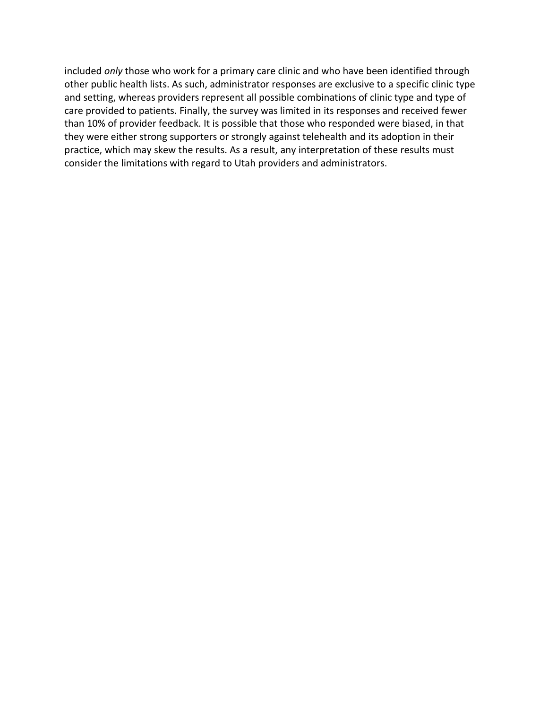included *only* those who work for a primary care clinic and who have been identified through other public health lists. As such, administrator responses are exclusive to a specific clinic type and setting, whereas providers represent all possible combinations of clinic type and type of care provided to patients. Finally, the survey was limited in its responses and received fewer than 10% of provider feedback. It is possible that those who responded were biased, in that they were either strong supporters or strongly against telehealth and its adoption in their practice, which may skew the results. As a result, any interpretation of these results must consider the limitations with regard to Utah providers and administrators.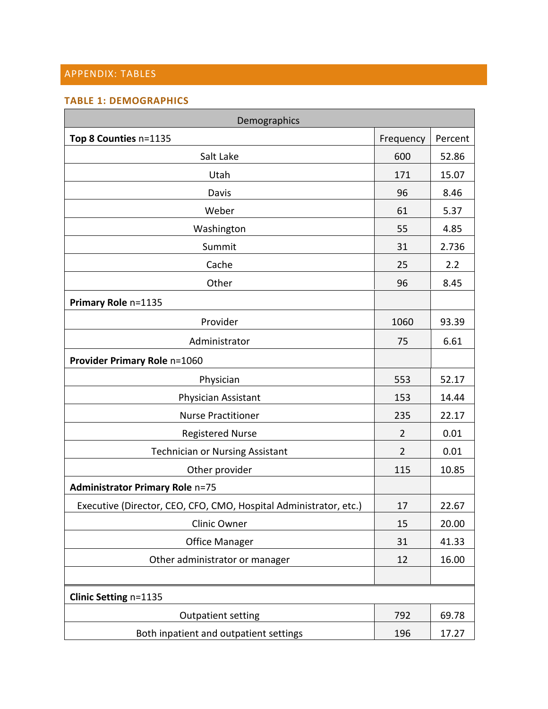### APPENDIX: TABLES

#### **TABLE 1: DEMOGRAPHICS**

| Demographics                                                      |                |         |  |
|-------------------------------------------------------------------|----------------|---------|--|
| Top 8 Counties n=1135                                             | Frequency      | Percent |  |
| Salt Lake                                                         | 600            | 52.86   |  |
| Utah                                                              | 171            | 15.07   |  |
| Davis                                                             | 96             | 8.46    |  |
| Weber                                                             | 61             | 5.37    |  |
| Washington                                                        | 55             | 4.85    |  |
| Summit                                                            | 31             | 2.736   |  |
| Cache                                                             | 25             | 2.2     |  |
| Other                                                             | 96             | 8.45    |  |
| Primary Role n=1135                                               |                |         |  |
| Provider                                                          | 1060           | 93.39   |  |
| Administrator                                                     | 75             | 6.61    |  |
| Provider Primary Role n=1060                                      |                |         |  |
| Physician                                                         | 553            | 52.17   |  |
| Physician Assistant                                               | 153            | 14.44   |  |
| <b>Nurse Practitioner</b>                                         | 235            | 22.17   |  |
| <b>Registered Nurse</b>                                           | $\overline{2}$ | 0.01    |  |
| <b>Technician or Nursing Assistant</b>                            | $\overline{2}$ | 0.01    |  |
| Other provider                                                    | 115            | 10.85   |  |
| <b>Administrator Primary Role n=75</b>                            |                |         |  |
| Executive (Director, CEO, CFO, CMO, Hospital Administrator, etc.) | 17             | 22.67   |  |
| Clinic Owner                                                      | 15             | 20.00   |  |
| <b>Office Manager</b>                                             | 31             | 41.33   |  |
| Other administrator or manager                                    | 12             | 16.00   |  |
|                                                                   |                |         |  |
| Clinic Setting n=1135                                             |                |         |  |
| <b>Outpatient setting</b>                                         | 792            | 69.78   |  |
| Both inpatient and outpatient settings                            | 196            | 17.27   |  |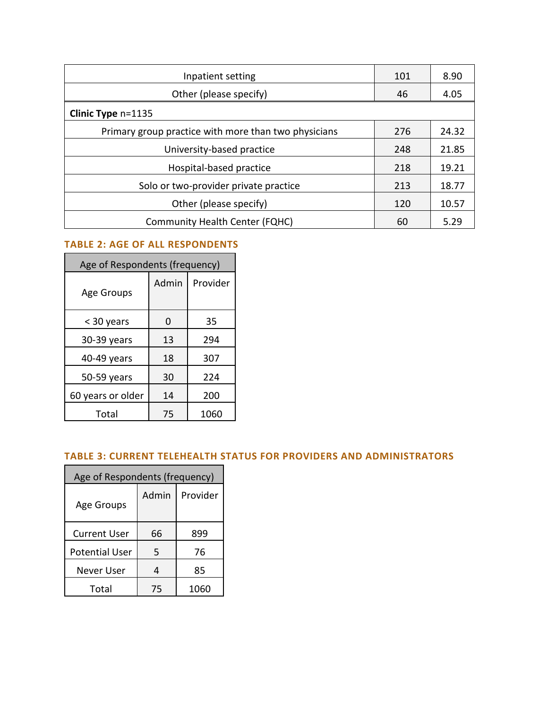| Inpatient setting                                    | 101 | 8.90  |
|------------------------------------------------------|-----|-------|
| Other (please specify)                               | 46  | 4.05  |
| Clinic Type n=1135                                   |     |       |
| Primary group practice with more than two physicians | 276 | 24.32 |
| University-based practice                            |     | 21.85 |
| Hospital-based practice                              |     | 19.21 |
| Solo or two-provider private practice                | 213 | 18.77 |
| Other (please specify)                               |     | 10.57 |
| <b>Community Health Center (FQHC)</b>                | 60  | 5.29  |

# **TABLE 2: AGE OF ALL RESPONDENTS**

| Age of Respondents (frequency) |       |          |  |  |
|--------------------------------|-------|----------|--|--|
| Age Groups                     | Admin | Provider |  |  |
| < 30 years                     | 0     | 35       |  |  |
| 30-39 years                    | 13    | 294      |  |  |
| 40-49 years                    | 18    | 307      |  |  |
| 50-59 years                    | 30    | 224      |  |  |
| 60 years or older              | 14    | 200      |  |  |
| Total                          | 75    | 1060     |  |  |

### **TABLE 3: CURRENT TELEHEALTH STATUS FOR PROVIDERS AND ADMINISTRATORS**

| Age of Respondents (frequency) |       |          |  |  |  |
|--------------------------------|-------|----------|--|--|--|
| Age Groups                     | Admin | Provider |  |  |  |
| <b>Current User</b>            | 66    | 899      |  |  |  |
| <b>Potential User</b>          | 5     | 76       |  |  |  |
| Never User                     | 4     | 85       |  |  |  |
| Total                          | 75    | 1060     |  |  |  |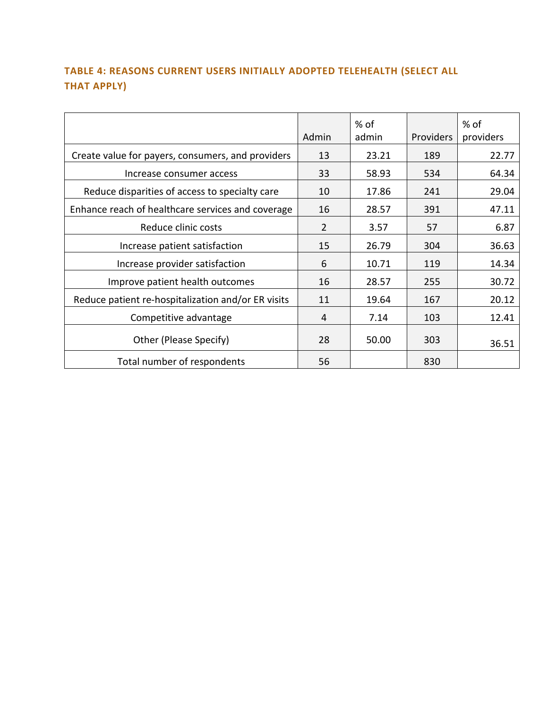# **TABLE 4: REASONS CURRENT USERS INITIALLY ADOPTED TELEHEALTH (SELECT ALL THAT APPLY)**

|                                                    | Admin          | % of<br>admin | Providers | % of<br>providers |
|----------------------------------------------------|----------------|---------------|-----------|-------------------|
| Create value for payers, consumers, and providers  | 13             | 23.21         | 189       | 22.77             |
| Increase consumer access                           | 33             | 58.93         | 534       | 64.34             |
| Reduce disparities of access to specialty care     | 10             | 17.86         | 241       | 29.04             |
| Enhance reach of healthcare services and coverage  | 16             | 28.57         | 391       | 47.11             |
| Reduce clinic costs                                | $\overline{2}$ | 3.57          | 57        | 6.87              |
| Increase patient satisfaction                      | 15             | 26.79         | 304       | 36.63             |
| Increase provider satisfaction                     | 6              | 10.71         | 119       | 14.34             |
| Improve patient health outcomes                    | 16             | 28.57         | 255       | 30.72             |
| Reduce patient re-hospitalization and/or ER visits | 11             | 19.64         | 167       | 20.12             |
| Competitive advantage                              | 4              | 7.14          | 103       | 12.41             |
| Other (Please Specify)                             | 28             | 50.00         | 303       | 36.51             |
| Total number of respondents                        | 56             |               | 830       |                   |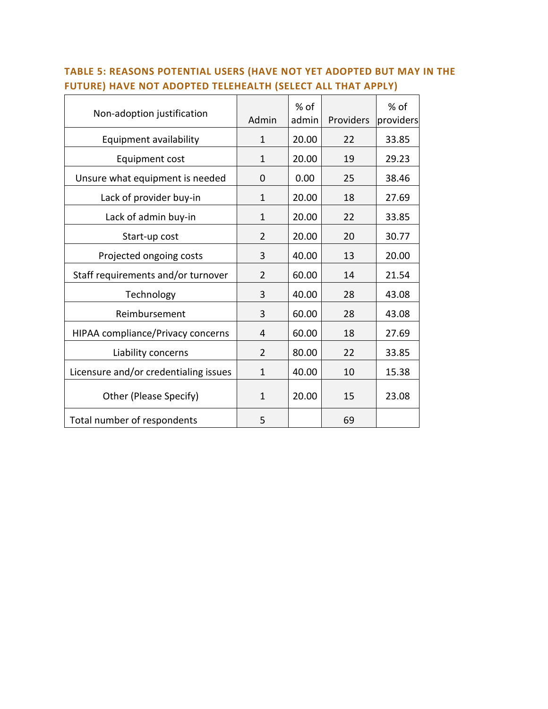| Non-adoption justification               | Admin          | % of<br>admin | Providers | $%$ of<br>providers |
|------------------------------------------|----------------|---------------|-----------|---------------------|
| Equipment availability                   | $\mathbf{1}$   | 20.00         | 22        | 33.85               |
| Equipment cost                           | 1              | 20.00         | 19        | 29.23               |
| Unsure what equipment is needed          | $\Omega$       | 0.00          | 25        | 38.46               |
| Lack of provider buy-in                  | $\mathbf{1}$   | 20.00         | 18        | 27.69               |
| Lack of admin buy-in                     | 1              | 20.00         | 22        | 33.85               |
| Start-up cost                            | $\overline{2}$ | 20.00         | 20        | 30.77               |
| Projected ongoing costs                  | 3              | 40.00         | 13        | 20.00               |
| Staff requirements and/or turnover       | $\overline{2}$ | 60.00         | 14        | 21.54               |
| Technology                               | 3              | 40.00         | 28        | 43.08               |
| Reimbursement                            | 3              | 60.00         | 28        | 43.08               |
| <b>HIPAA compliance/Privacy concerns</b> | 4              | 60.00         | 18        | 27.69               |
| Liability concerns                       | 2              | 80.00         | 22        | 33.85               |
| Licensure and/or credentialing issues    | $\mathbf{1}$   | 40.00         | 10        | 15.38               |
| Other (Please Specify)                   | $\mathbf{1}$   | 20.00         | 15        | 23.08               |
| Total number of respondents              | 5              |               | 69        |                     |

# **TABLE 5: REASONS POTENTIAL USERS (HAVE NOT YET ADOPTED BUT MAY IN THE FUTURE) HAVE NOT ADOPTED TELEHEALTH (SELECT ALL THAT APPLY)**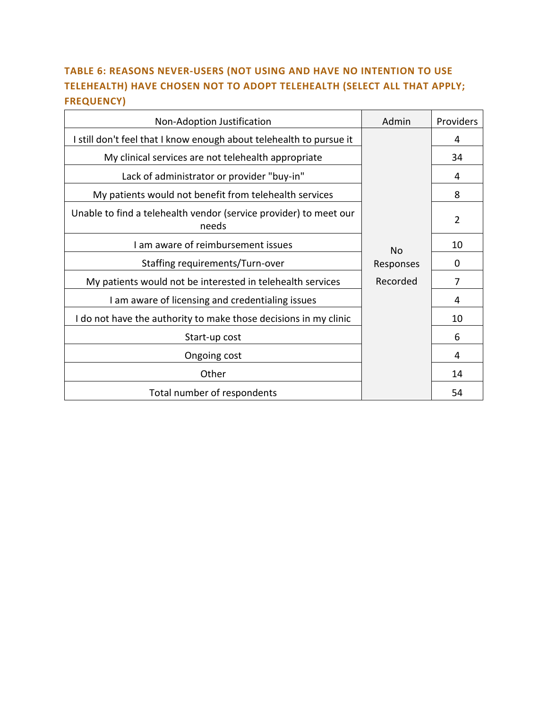# **TABLE 6: REASONS NEVER-USERS (NOT USING AND HAVE NO INTENTION TO USE TELEHEALTH) HAVE CHOSEN NOT TO ADOPT TELEHEALTH (SELECT ALL THAT APPLY; FREQUENCY)**

| Non-Adoption Justification                                                 | Admin     | Providers      |
|----------------------------------------------------------------------------|-----------|----------------|
| I still don't feel that I know enough about telehealth to pursue it        |           | 4              |
| My clinical services are not telehealth appropriate                        |           | 34             |
| Lack of administrator or provider "buy-in"                                 |           | 4              |
| My patients would not benefit from telehealth services                     |           | 8              |
| Unable to find a telehealth vendor (service provider) to meet our<br>needs |           | $\overline{2}$ |
| I am aware of reimbursement issues                                         | <b>No</b> | 10             |
| Staffing requirements/Turn-over                                            | Responses | 0              |
| My patients would not be interested in telehealth services                 | Recorded  | 7              |
| I am aware of licensing and credentialing issues                           |           | 4              |
| I do not have the authority to make those decisions in my clinic           |           | 10             |
| Start-up cost                                                              |           | 6              |
| Ongoing cost                                                               |           | 4              |
| Other                                                                      |           | 14             |
| Total number of respondents                                                |           | 54             |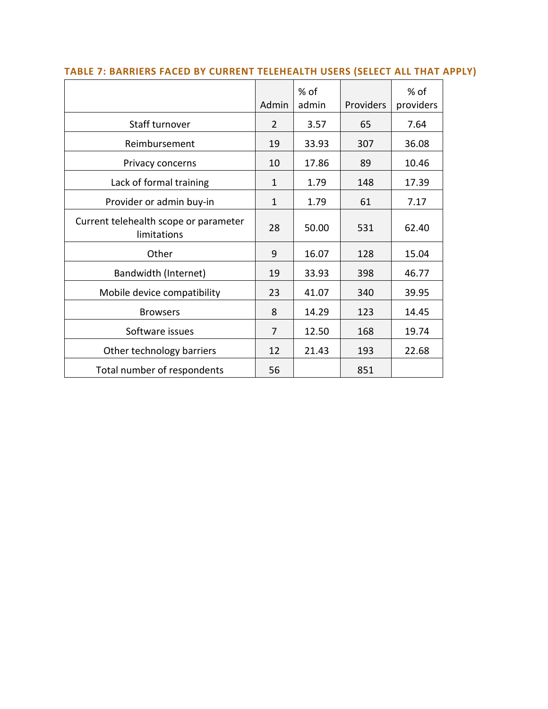|                                                      | Admin        | % of<br>admin | Providers | % of<br>providers |
|------------------------------------------------------|--------------|---------------|-----------|-------------------|
| Staff turnover                                       | 2            | 3.57          | 65        | 7.64              |
| Reimbursement                                        | 19           | 33.93         | 307       | 36.08             |
| Privacy concerns                                     | 10           | 17.86         | 89        | 10.46             |
| Lack of formal training                              | 1            | 1.79          | 148       | 17.39             |
| Provider or admin buy-in                             | $\mathbf{1}$ | 1.79          | 61        | 7.17              |
| Current telehealth scope or parameter<br>limitations | 28           | 50.00         | 531       | 62.40             |
| Other                                                | 9            | 16.07         | 128       | 15.04             |
| Bandwidth (Internet)                                 | 19           | 33.93         | 398       | 46.77             |
| Mobile device compatibility                          | 23           | 41.07         | 340       | 39.95             |
| <b>Browsers</b>                                      | 8            | 14.29         | 123       | 14.45             |
| Software issues                                      | 7            | 12.50         | 168       | 19.74             |
| Other technology barriers                            | 12           | 21.43         | 193       | 22.68             |
| Total number of respondents                          | 56           |               | 851       |                   |

### **TABLE 7: BARRIERS FACED BY CURRENT TELEHEALTH USERS (SELECT ALL THAT APPLY)**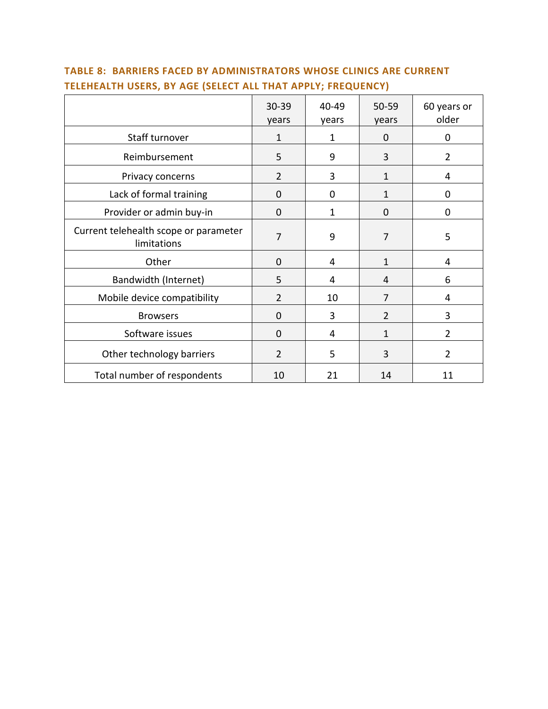|                                                      | 30-39<br>years | 40-49<br>years | 50-59<br>years | 60 years or<br>older |
|------------------------------------------------------|----------------|----------------|----------------|----------------------|
| Staff turnover                                       | $\mathbf{1}$   | 1              | 0              | $\mathbf 0$          |
| Reimbursement                                        | 5              | 9              | 3              | $\overline{2}$       |
| Privacy concerns                                     | $\overline{2}$ | 3              | 1              | 4                    |
| Lack of formal training                              | 0              | 0              | 1              | $\mathbf 0$          |
| Provider or admin buy-in                             | $\mathbf 0$    | 1              | 0              | 0                    |
| Current telehealth scope or parameter<br>limitations | 7              | 9              | 7              | 5                    |
| Other                                                | 0              | 4              | 1              | 4                    |
| Bandwidth (Internet)                                 | 5              | 4              | 4              | 6                    |
| Mobile device compatibility                          | $\overline{2}$ | 10             | 7              | 4                    |
| <b>Browsers</b>                                      | 0              | 3              | $\overline{2}$ | 3                    |
| Software issues                                      | $\overline{0}$ | 4              | $\mathbf{1}$   | $\overline{2}$       |
| Other technology barriers                            | $\overline{2}$ | 5              | 3              | $\overline{2}$       |
| Total number of respondents                          | 10             | 21             | 14             | 11                   |

### **TABLE 8: BARRIERS FACED BY ADMINISTRATORS WHOSE CLINICS ARE CURRENT TELEHEALTH USERS, BY AGE (SELECT ALL THAT APPLY; FREQUENCY)**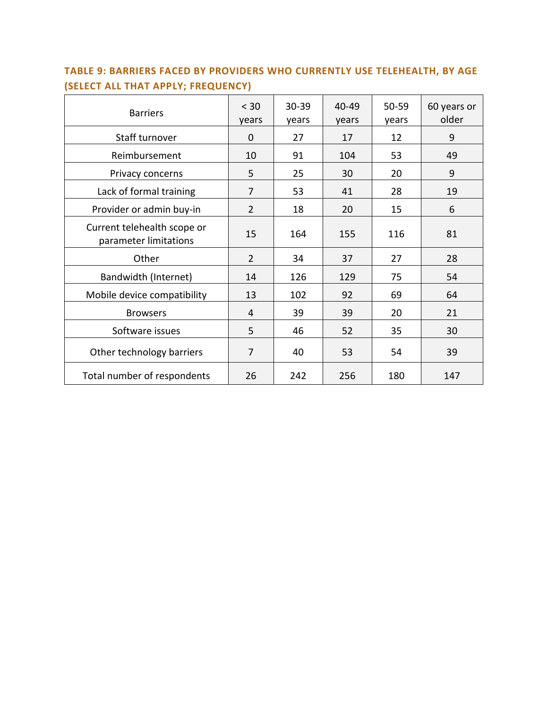| <b>Barriers</b>                                      | < 30<br>years  | $30 - 39$<br>years | 40-49<br>years | 50-59<br>years | 60 years or<br>older |
|------------------------------------------------------|----------------|--------------------|----------------|----------------|----------------------|
| Staff turnover                                       | $\Omega$       | 27                 | 17             | 12             | 9                    |
| Reimbursement                                        | 10             | 91                 | 104            | 53             | 49                   |
| Privacy concerns                                     | 5              | 25                 | 30             | 20             | 9                    |
| Lack of formal training                              | $\overline{7}$ | 53                 | 41             | 28             | 19                   |
| Provider or admin buy-in                             | $\overline{2}$ | 18                 | 20             | 15             | 6                    |
| Current telehealth scope or<br>parameter limitations | 15             | 164                | 155            | 116            | 81                   |
| Other                                                | $\overline{2}$ | 34                 | 37             | 27             | 28                   |
| Bandwidth (Internet)                                 | 14             | 126                | 129            | 75             | 54                   |
| Mobile device compatibility                          | 13             | 102                | 92             | 69             | 64                   |
| <b>Browsers</b>                                      | 4              | 39                 | 39             | 20             | 21                   |
| Software issues                                      | 5              | 46                 | 52             | 35             | 30                   |
| Other technology barriers                            | $\overline{7}$ | 40                 | 53             | 54             | 39                   |
| Total number of respondents                          | 26             | 242                | 256            | 180            | 147                  |

# **TABLE 9: BARRIERS FACED BY PROVIDERS WHO CURRENTLY USE TELEHEALTH, BY AGE (SELECT ALL THAT APPLY; FREQUENCY)**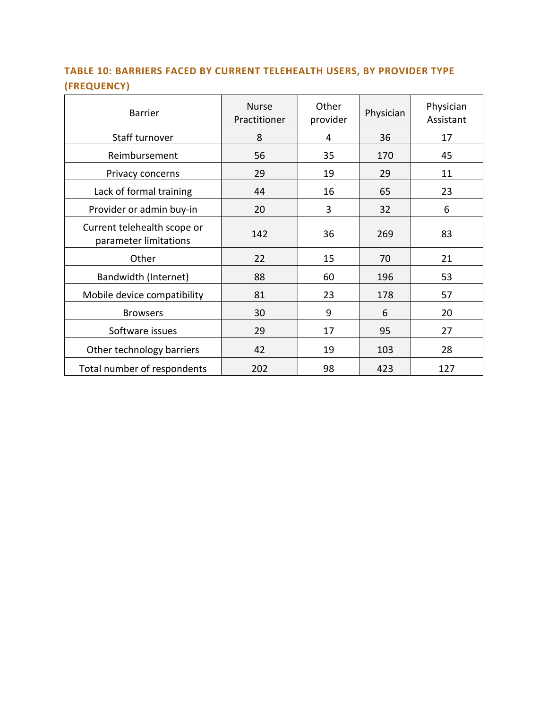# **TABLE 10: BARRIERS FACED BY CURRENT TELEHEALTH USERS, BY PROVIDER TYPE (FREQUENCY)**

| <b>Barrier</b>                                       | <b>Nurse</b><br>Practitioner | Other<br>provider | Physician | Physician<br>Assistant |
|------------------------------------------------------|------------------------------|-------------------|-----------|------------------------|
| Staff turnover                                       | 8                            | 4                 | 36        | 17                     |
| Reimbursement                                        | 56                           | 35                | 170       | 45                     |
| Privacy concerns                                     | 29                           | 19                | 29        | 11                     |
| Lack of formal training                              | 44                           | 16                | 65        | 23                     |
| Provider or admin buy-in                             | 20                           | 3                 | 32        | 6                      |
| Current telehealth scope or<br>parameter limitations | 142                          | 36                | 269       | 83                     |
| Other                                                | 22                           | 15                | 70        | 21                     |
| Bandwidth (Internet)                                 | 88                           | 60                | 196       | 53                     |
| Mobile device compatibility                          | 81                           | 23                | 178       | 57                     |
| <b>Browsers</b>                                      | 30                           | 9                 | 6         | 20                     |
| Software issues                                      | 29                           | 17                | 95        | 27                     |
| Other technology barriers                            | 42                           | 19                | 103       | 28                     |
| Total number of respondents                          | 202                          | 98                | 423       | 127                    |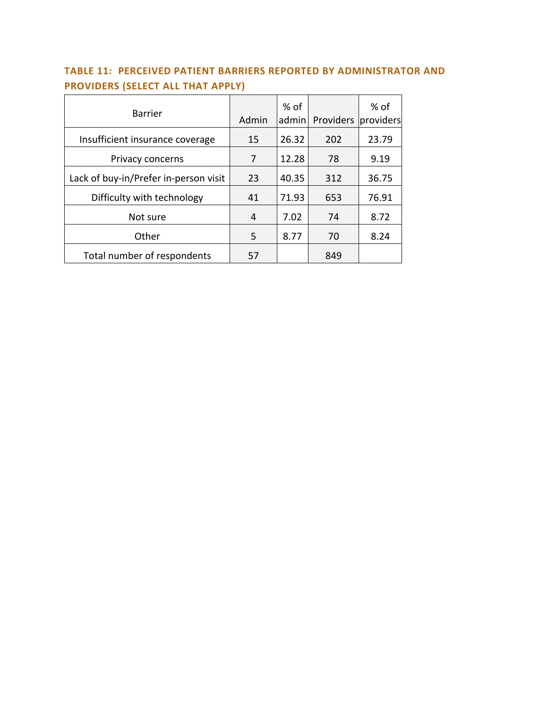# **TABLE 11: PERCEIVED PATIENT BARRIERS REPORTED BY ADMINISTRATOR AND PROVIDERS (SELECT ALL THAT APPLY)**

| <b>Barrier</b>                        | Admin | $%$ of<br>admin | Providers | $%$ of<br>providers |
|---------------------------------------|-------|-----------------|-----------|---------------------|
| Insufficient insurance coverage       | 15    | 26.32           | 202       | 23.79               |
| Privacy concerns                      | 7     | 12.28           | 78        | 9.19                |
| Lack of buy-in/Prefer in-person visit | 23    | 40.35           | 312       | 36.75               |
| Difficulty with technology            | 41    | 71.93           | 653       | 76.91               |
| Not sure                              | 4     | 7.02            | 74        | 8.72                |
| Other                                 | 5     | 8.77            | 70        | 8.24                |
| Total number of respondents           | 57    |                 | 849       |                     |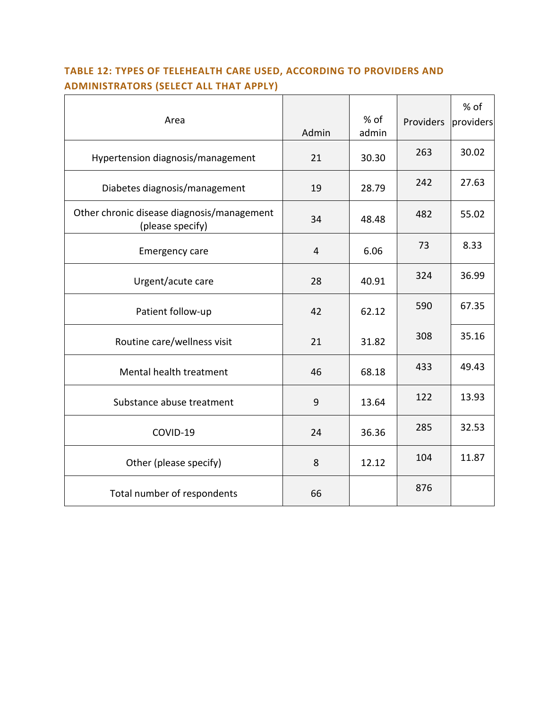# **TABLE 12: TYPES OF TELEHEALTH CARE USED, ACCORDING TO PROVIDERS AND ADMINISTRATORS (SELECT ALL THAT APPLY)**

| Area                                                           | Admin          | $%$ of<br>admin | Providers | % of<br>providers |
|----------------------------------------------------------------|----------------|-----------------|-----------|-------------------|
| Hypertension diagnosis/management                              | 21             | 30.30           | 263       | 30.02             |
| Diabetes diagnosis/management                                  | 19             | 28.79           | 242       | 27.63             |
| Other chronic disease diagnosis/management<br>(please specify) | 34             | 48.48           | 482       | 55.02             |
| <b>Emergency care</b>                                          | $\overline{4}$ | 6.06            | 73        | 8.33              |
| Urgent/acute care                                              | 28             | 40.91           | 324       | 36.99             |
| Patient follow-up                                              | 42             | 62.12           | 590       | 67.35             |
| Routine care/wellness visit                                    | 21             | 31.82           | 308       | 35.16             |
| Mental health treatment                                        | 46             | 68.18           | 433       | 49.43             |
| Substance abuse treatment                                      | 9              | 13.64           | 122       | 13.93             |
| COVID-19                                                       | 24             | 36.36           | 285       | 32.53             |
| Other (please specify)                                         | 8              | 12.12           | 104       | 11.87             |
| Total number of respondents                                    | 66             |                 | 876       |                   |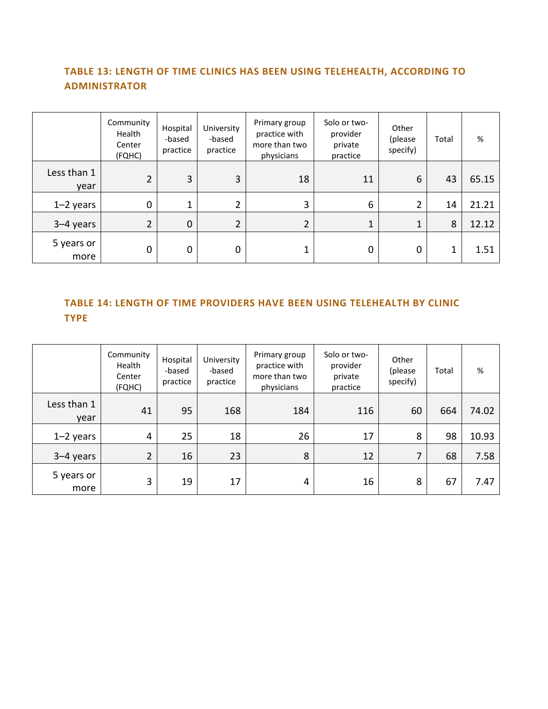### **TABLE 13: LENGTH OF TIME CLINICS HAS BEEN USING TELEHEALTH, ACCORDING TO ADMINISTRATOR**

|                     | Community<br>Health<br>Center<br>(FQHC) | Hospital<br>-based<br>practice | University<br>-based<br>practice | Primary group<br>practice with<br>more than two<br>physicians | Solo or two-<br>provider<br>private<br>practice | Other<br>(please<br>specify) | Total | $\%$  |
|---------------------|-----------------------------------------|--------------------------------|----------------------------------|---------------------------------------------------------------|-------------------------------------------------|------------------------------|-------|-------|
| Less than 1<br>year | $\overline{2}$                          | 3                              | 3                                | 18                                                            | 11                                              | 6                            | 43    | 65.15 |
| $1-2$ years         | 0                                       |                                |                                  | 3                                                             | 6                                               | 2                            | 14    | 21.21 |
| 3-4 years           | $\overline{2}$                          | 0                              | 2                                |                                                               | 1                                               | 1                            | 8     | 12.12 |
| 5 years or<br>more  | 0                                       | 0                              | $\Omega$                         | 1                                                             | 0                                               | 0                            | 1     | 1.51  |

### **TABLE 14: LENGTH OF TIME PROVIDERS HAVE BEEN USING TELEHEALTH BY CLINIC TYPE**

|                     | Community<br>Health<br>Center<br>(FQHC) | Hospital<br>-based<br>practice | University<br>-based<br>practice | Primary group<br>practice with<br>more than two<br>physicians | Solo or two-<br>provider<br>private<br>practice | Other<br>(please<br>specify) | Total | %     |
|---------------------|-----------------------------------------|--------------------------------|----------------------------------|---------------------------------------------------------------|-------------------------------------------------|------------------------------|-------|-------|
| Less than 1<br>year | 41                                      | 95                             | 168                              | 184                                                           | 116                                             | 60                           | 664   | 74.02 |
| $1-2$ years         | 4                                       | 25                             | 18                               | 26                                                            | 17                                              | 8                            | 98    | 10.93 |
| $3-4$ years         | $\overline{2}$                          | 16                             | 23                               | 8                                                             | 12                                              | 7                            | 68    | 7.58  |
| 5 years or<br>more  | 3                                       | 19                             | 17                               | 4                                                             | 16                                              | 8                            | 67    | 7.47  |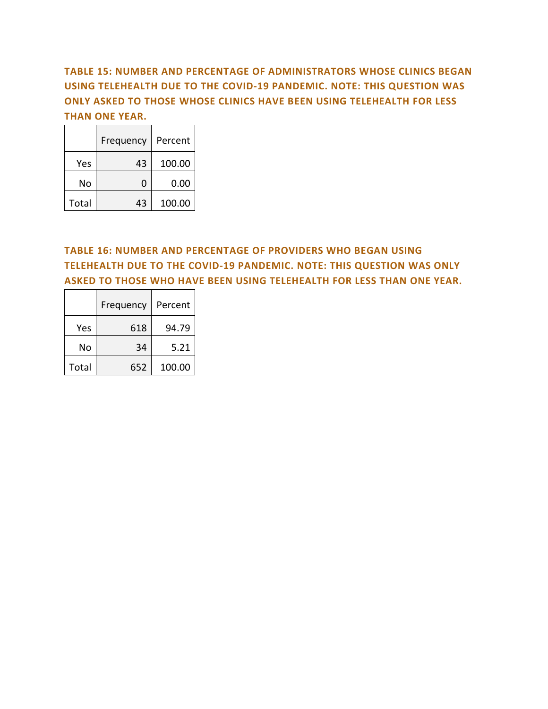### **TABLE 15: NUMBER AND PERCENTAGE OF ADMINISTRATORS WHOSE CLINICS BEGAN USING TELEHEALTH DUE TO THE COVID-19 PANDEMIC. NOTE: THIS QUESTION WAS ONLY ASKED TO THOSE WHOSE CLINICS HAVE BEEN USING TELEHEALTH FOR LESS THAN ONE YEAR.**

|       | Frequency | Percent |
|-------|-----------|---------|
| Yes   | 43        | 100.00  |
| No    | O         | 0.00    |
| Total | 43        | 100.00  |

### **TABLE 16: NUMBER AND PERCENTAGE OF PROVIDERS WHO BEGAN USING TELEHEALTH DUE TO THE COVID-19 PANDEMIC. NOTE: THIS QUESTION WAS ONLY ASKED TO THOSE WHO HAVE BEEN USING TELEHEALTH FOR LESS THAN ONE YEAR.**

|       | Frequency | Percent |
|-------|-----------|---------|
| Yes.  | 618       | 94.79   |
| No    | 34        | 5.21    |
| Total | 652       | 100.00  |